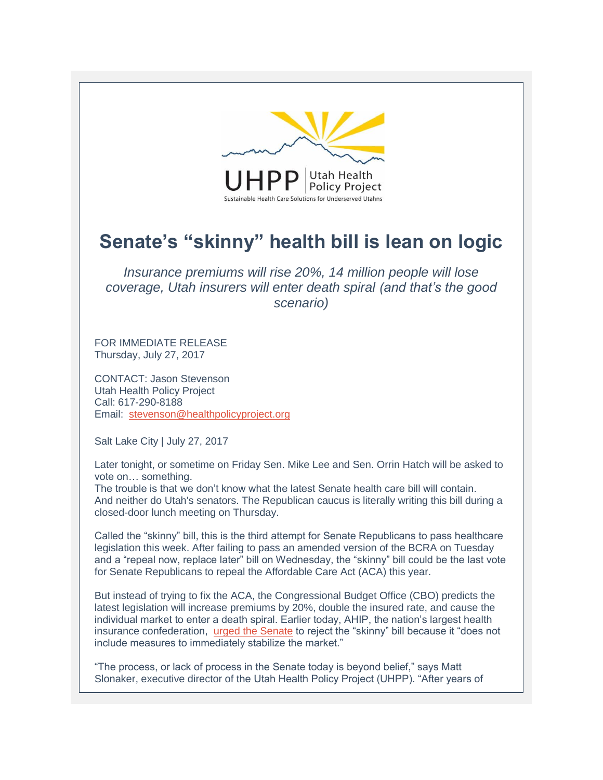

## **Senate's "skinny" health bill is lean on logic**

*Insurance premiums will rise 20%, 14 million people will lose coverage, Utah insurers will enter death spiral (and that's the good scenario)*

FOR IMMEDIATE RELEASE Thursday, July 27, 2017

CONTACT: Jason Stevenson Utah Health Policy Project Call: 617-290-8188 Email: [stevenson@healthpolicyproject.org](mailto:stevenson@healthpolicyproject.org) 

Salt Lake City | July 27, 2017

Later tonight, or sometime on Friday Sen. Mike Lee and Sen. Orrin Hatch will be asked to vote on… something.

The trouble is that we don't know what the latest Senate health care bill will contain. And neither do Utah's senators. The Republican caucus is literally writing this bill during a closed-door lunch meeting on Thursday.

Called the "skinny" bill, this is the third attempt for Senate Republicans to pass healthcare legislation this week. After failing to pass an amended version of the BCRA on Tuesday and a "repeal now, replace later" bill on Wednesday, the "skinny" bill could be the last vote for Senate Republicans to repeal the Affordable Care Act (ACA) this year.

But instead of trying to fix the ACA, the Congressional Budget Office (CBO) predicts the latest legislation will increase premiums by 20%, double the insured rate, and cause the individual market to enter a death spiral. Earlier today, AHIP, the nation's largest health insurance confederation, [urged the Senate](https://www.ahip.org/ahip-letter-to-u-s-senate-leaders-mcconnell-and-schumer/) to reject the "skinny" bill because it "does not include measures to immediately stabilize the market."

"The process, or lack of process in the Senate today is beyond belief," says Matt Slonaker, executive director of the Utah Health Policy Project (UHPP). "After years of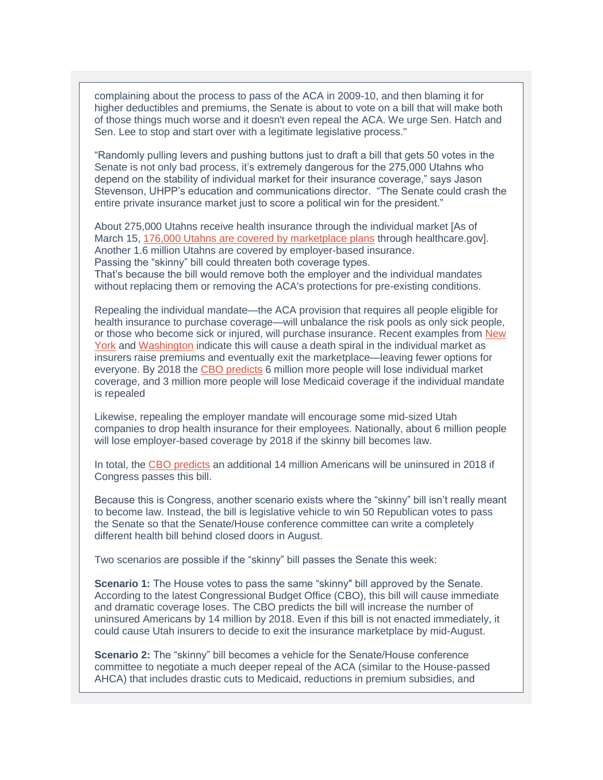complaining about the process to pass of the ACA in 2009-10, and then blaming it for higher deductibles and premiums, the Senate is about to vote on a bill that will make both of those things much worse and it doesn't even repeal the ACA. We urge Sen. Hatch and Sen. Lee to stop and start over with a legitimate legislative process."

"Randomly pulling levers and pushing buttons just to draft a bill that gets 50 votes in the Senate is not only bad process, it's extremely dangerous for the 275,000 Utahns who depend on the stability of individual market for their insurance coverage," says Jason Stevenson, UHPP's education and communications director. "The Senate could crash the entire private insurance market just to score a political win for the president."

About 275,000 Utahns receive health insurance through the individual market [As of March 15, [176,000 Utahns are covered by marketplace plans](http://www.healthpolicyproject.org/wp-content/uploads/17-07-Utah-Update.pdf) through healthcare.gov]. Another 1.6 million Utahns are covered by employer-based insurance. Passing the "skinny" bill could threaten both coverage types. That's because the bill would remove both the employer and the individual mandates without replacing them or removing the ACA's protections for pre-existing conditions.

Repealing the individual mandate—the ACA provision that requires all people eligible for health insurance to purchase coverage—will unbalance the risk pools as only sick people, or those who become sick or injured, will purchase insurance. Recent examples from New [York](http://articles.latimes.com/2010/feb/21/nation/la-na-health-insurance21-2010feb21) and [Washington](https://www.forbes.com/sites/theapothecary/2012/03/30/want-to-see-a-health-insurance-death-spiral-visit-washington-state/#7f0bf09e5d09) indicate this will cause a death spiral in the individual market as insurers raise premiums and eventually exit the marketplace—leaving fewer options for everyone. By 2018 the [CBO predicts](https://www.cbo.gov/publication/52977) 6 million more people will lose individual market coverage, and 3 million more people will lose Medicaid coverage if the individual mandate is repealed

Likewise, repealing the employer mandate will encourage some mid-sized Utah companies to drop health insurance for their employees. Nationally, about 6 million people will lose employer-based coverage by 2018 if the skinny bill becomes law.

In total, the [CBO predicts](https://www.cbo.gov/publication/52977) an additional 14 million Americans will be uninsured in 2018 if Congress passes this bill.

Because this is Congress, another scenario exists where the "skinny" bill isn't really meant to become law. Instead, the bill is legislative vehicle to win 50 Republican votes to pass the Senate so that the Senate/House conference committee can write a completely different health bill behind closed doors in August.

Two scenarios are possible if the "skinny" bill passes the Senate this week:

**Scenario 1:** The House votes to pass the same "skinny" bill approved by the Senate. According to the latest Congressional Budget Office (CBO), this bill will cause immediate and dramatic coverage loses. The CBO predicts the bill will increase the number of uninsured Americans by 14 million by 2018. Even if this bill is not enacted immediately, it could cause Utah insurers to decide to exit the insurance marketplace by mid-August.

**Scenario 2:** The "skinny" bill becomes a vehicle for the Senate/House conference committee to negotiate a much deeper repeal of the ACA (similar to the House-passed AHCA) that includes drastic cuts to Medicaid, reductions in premium subsidies, and